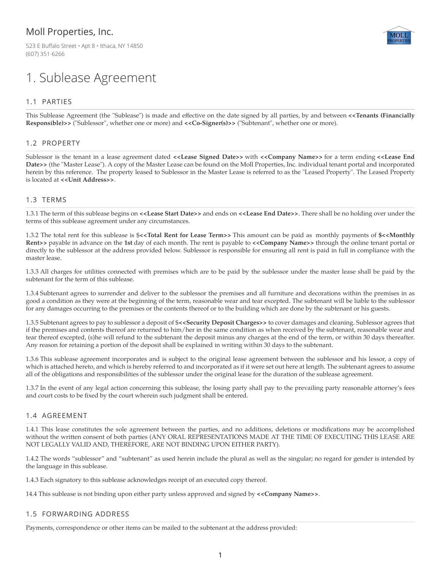## Moll Properties, Inc.

523 E Buffalo Street • Apt 8 • Ithaca, NY 14850 (607) 351-6266

# 1. Sublease Agreement

### 1.1 PARTIES

This Sublease Agreement (the "Sublease") is made and effective on the date signed by all parties, by and between **<<Tenants (Financially Responsible)>>** ("Sublessor", whether one or more) and **<<Co-Signer(s)>>** ("Subtenant", whether one or more).

#### 1.2 PROPERTY

Sublessor is the tenant in a lease agreement dated **<<Lease Signed Date>>** with **<<Company Name>>** for a term ending **<<Lease End Date>>** (the "Master Lease"). A copy of the Master Lease can be found on the Moll Properties, Inc. individual tenant portal and incorporated herein by this reference. The property leased to Sublessor in the Master Lease is referred to as the "Leased Property". The Leased Property is located at **<<Unit Address>>**.

#### 1.3 TERMS

1.3.1 The term of this sublease begins on **<<Lease Start Date>>** and ends on **<<Lease End Date>>**. There shall be no holding over under the terms of this sublease agreement under any circumstances.

1.3.2 The total rent for this sublease is \$**<<Total Rent for Lease Term>>** This amount can be paid as monthly payments of **\$<<Monthly Rent>>** payable in advance on the **1st** day of each month. The rent is payable to **<<Company Name>>** through the online tenant portal or directly to the sublessor at the address provided below. Sublessor is responsible for ensuring all rent is paid in full in compliance with the master lease.

1.3.3 All charges for utilities connected with premises which are to be paid by the sublessor under the master lease shall be paid by the subtenant for the term of this sublease.

1.3.4 Subtenant agrees to surrender and deliver to the sublessor the premises and all furniture and decorations within the premises in as good a condition as they were at the beginning of the term, reasonable wear and tear excepted. The subtenant will be liable to the sublessor for any damages occurring to the premises or the contents thereof or to the building which are done by the subtenant or his guests.

1.3.5 Subtenant agrees to pay to sublessor a deposit of \$**<<Security Deposit Charges>>** to cover damages and cleaning. Sublessor agrees that if the premises and contents thereof are returned to him/her in the same condition as when received by the subtenant, reasonable wear and tear thereof excepted, (s)he will refund to the subtenant the deposit minus any charges at the end of the term, or within 30 days thereafter. Any reason for retaining a portion of the deposit shall be explained in writing within 30 days to the subtenant.

1.3.6 This sublease agreement incorporates and is subject to the original lease agreement between the sublessor and his lessor, a copy of which is attached hereto, and which is hereby referred to and incorporated as if it were set out here at length. The subtenant agrees to assume all of the obligations and responsibilities of the sublessor under the original lease for the duration of the sublease agreement.

1.3.7 In the event of any legal action concerning this sublease, the losing party shall pay to the prevailing party reasonable attorney's fees and court costs to be fixed by the court wherein such judgment shall be entered.

#### 1.4 AGREEMENT

1.4.1 This lease constitutes the sole agreement between the parties, and no additions, deletions or modifications may be accomplished without the written consent of both parties (ANY ORAL REPRESENTATIONS MADE AT THE TIME OF EXECUTING THIS LEASE ARE NOT LEGALLY VALID AND, THEREFORE, ARE NOT BINDING UPON EITHER PARTY).

1.4.2 The words "sublessor" and "subtenant" as used herein include the plural as well as the singular; no regard for gender is intended by the language in this sublease.

1.4.3 Each signatory to this sublease acknowledges receipt of an executed copy thereof.

14.4 This sublease is not binding upon either party unless approved and signed by **<<Company Name>>**.

#### 1.5 FORWARDING ADDRESS

Payments, correspondence or other items can be mailed to the subtenant at the address provided: